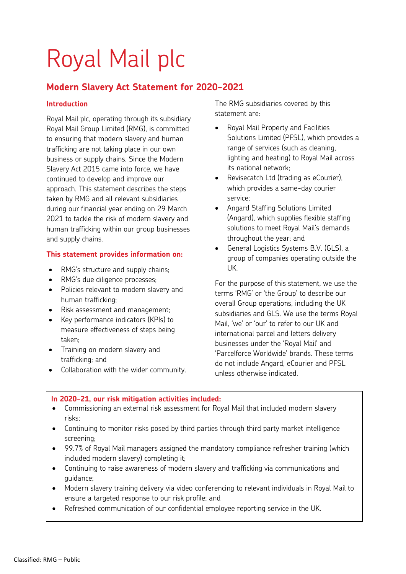# Royal Mail plc

# **Modern Slavery Act Statement for 2020-2021**

## **Introduction**

Royal Mail plc, operating through its subsidiary Royal Mail Group Limited (RMG), is committed to ensuring that modern slavery and human trafficking are not taking place in our own business or supply chains. Since the Modern Slavery Act 2015 came into force, we have continued to develop and improve our approach. This statement describes the steps taken by RMG and all relevant subsidiaries during our financial year ending on 29 March 2021 to tackle the risk of modern slavery and human trafficking within our group businesses and supply chains.

### **This statement provides information on:**

- RMG's structure and supply chains;
- RMG's due diligence processes;
- Policies relevant to modern slavery and human trafficking;
- Risk assessment and management;
- Key performance indicators (KPIs) to measure effectiveness of steps being taken;
- Training on modern slavery and trafficking; and
- Collaboration with the wider community.

The RMG subsidiaries covered by this statement are:

- Royal Mail Property and Facilities Solutions Limited (PFSL), which provides a range of services (such as cleaning, lighting and heating) to Royal Mail across its national network;
- Revisecatch Ltd (trading as eCourier), which provides a same-day courier service;
- Angard Staffing Solutions Limited (Angard), which supplies flexible staffing solutions to meet Royal Mail's demands throughout the year; and
- General Logistics Systems B.V. (GLS), a group of companies operating outside the UK.

For the purpose of this statement, we use the terms 'RMG' or 'the Group' to describe our overall Group operations, including the UK subsidiaries and GLS. We use the terms Royal Mail, 'we' or 'our' to refer to our UK and international parcel and letters delivery businesses under the 'Royal Mail' and 'Parcelforce Worldwide' brands. These terms do not include Angard, eCourier and PFSL unless otherwise indicated.

#### **In 2020-21, our risk mitigation activities included:**

- Commissioning an external risk assessment for Royal Mail that included modern slavery risks;
- Continuing to monitor risks posed by third parties through third party market intelligence screening;
- 99.7% of Royal Mail managers assigned the mandatory compliance refresher training (which included modern slavery) completing it;
- Continuing to raise awareness of modern slavery and trafficking via communications and guidance;
- Modern slavery training delivery via video conferencing to relevant individuals in Royal Mail to ensure a targeted response to our risk profile; and
- Refreshed communication of our confidential employee reporting service in the UK.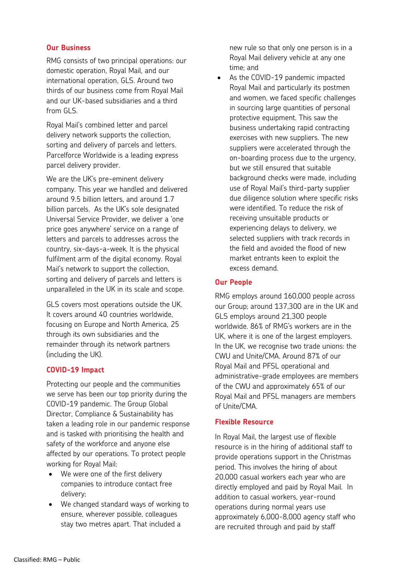#### **Our Business**

RMG consists of two principal operations: our domestic operation, Royal Mail, and our international operation, GLS. Around two thirds of our business come from Royal Mail and our UK-based subsidiaries and a third from GLS.

Royal Mail's combined letter and parcel delivery network supports the collection, sorting and delivery of parcels and letters. Parcelforce Worldwide is a leading express parcel delivery provider.

We are the UK's pre-eminent delivery company. This year we handled and delivered around 9.5 billion letters, and around 1.7 billion parcels. As the UK's sole designated Universal Service Provider, we deliver a 'one price goes anywhere' service on a range of letters and parcels to addresses across the country, six-days-a-week. It is the physical fulfilment arm of the digital economy. Royal Mail's network to support the collection, sorting and delivery of parcels and letters is unparalleled in the UK in its scale and scope.

GLS covers most operations outside the UK. It covers around 40 countries worldwide, focusing on Europe and North America, 25 through its own subsidiaries and the remainder through its network partners (including the UK).

#### **COVID-19 Impact**

Protecting our people and the communities we serve has been our top priority during the COVID-19 pandemic. The Group Global Director, Compliance & Sustainability has taken a leading role in our pandemic response and is tasked with prioritising the health and safety of the workforce and anyone else affected by our operations. To protect people working for Royal Mail:

- We were one of the first delivery companies to introduce contact free delivery;
- We changed standard ways of working to ensure, wherever possible, colleagues stay two metres apart. That included a

new rule so that only one person is in a Royal Mail delivery vehicle at any one time; and

As the COVID-19 pandemic impacted Royal Mail and particularly its postmen and women, we faced specific challenges in sourcing large quantities of personal protective equipment. This saw the business undertaking rapid contracting exercises with new suppliers. The new suppliers were accelerated through the on-boarding process due to the urgency, but we still ensured that suitable background checks were made, including use of Royal Mail's third-party supplier due diligence solution where specific risks were identified. To reduce the risk of receiving unsuitable products or experiencing delays to delivery, we selected suppliers with track records in the field and avoided the flood of new market entrants keen to exploit the excess demand.

### **Our People**

RMG employs around 160,000 people across our Group; around 137,300 are in the UK and GLS employs around 21,300 people worldwide. 86% of RMG's workers are in the UK, where it is one of the largest employers. In the UK, we recognise two trade unions: the CWU and Unite/CMA. Around 87% of our Royal Mail and PFSL operational and administrative-grade employees are members of the CWU and approximately 65% of our Royal Mail and PFSL managers are members of Unite/CMA.

#### **Flexible Resource**

In Royal Mail, the largest use of flexible resource is in the hiring of additional staff to provide operations support in the Christmas period. This involves the hiring of about 20,000 casual workers each year who are directly employed and paid by Royal Mail. In addition to casual workers, year-round operations during normal years use approximately 6,000-8,000 agency staff who are recruited through and paid by staff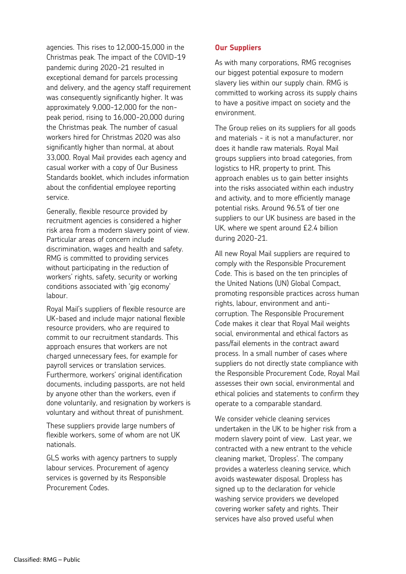agencies. This rises to 12,000–15,000 in the Christmas peak. The impact of the COVID-19 pandemic during 2020-21 resulted in exceptional demand for parcels processing and delivery, and the agency staff requirement was consequently significantly higher. It was approximately 9,000-12,000 for the nonpeak period, rising to 16,000-20,000 during the Christmas peak. The number of casual workers hired for Christmas 2020 was also significantly higher than normal, at about 33,000. Royal Mail provides each agency and casual worker with a copy of Our Business Standards booklet, which includes information about the confidential employee reporting service.

Generally, flexible resource provided by recruitment agencies is considered a higher risk area from a modern slavery point of view. Particular areas of concern include discrimination, wages and health and safety. RMG is committed to providing services without participating in the reduction of workers' rights, safety, security or working conditions associated with 'gig economy' labour.

Royal Mail's suppliers of flexible resource are UK-based and include major national flexible resource providers, who are required to commit to our recruitment standards. This approach ensures that workers are not charged unnecessary fees, for example for payroll services or translation services. Furthermore, workers' original identification documents, including passports, are not held by anyone other than the workers, even if done voluntarily, and resignation by workers is voluntary and without threat of punishment.

These suppliers provide large numbers of flexible workers, some of whom are not UK nationals.

GLS works with agency partners to supply labour services. Procurement of agency services is governed by its Responsible Procurement Codes.

### **Our Suppliers**

As with many corporations, RMG recognises our biggest potential exposure to modern slavery lies within our supply chain. RMG is committed to working across its supply chains to have a positive impact on society and the environment.

The Group relies on its suppliers for all goods and materials - it is not a manufacturer, nor does it handle raw materials. Royal Mail groups suppliers into broad categories, from logistics to HR, property to print. This approach enables us to gain better insights into the risks associated within each industry and activity, and to more efficiently manage potential risks. Around 96.5% of tier one suppliers to our UK business are based in the UK, where we spent around £2.4 billion during 2020-21.

All new Royal Mail suppliers are required to comply with the Responsible Procurement Code. This is based on the ten principles of the United Nations (UN) Global Compact, promoting responsible practices across human rights, labour, environment and anticorruption. The Responsible Procurement Code makes it clear that Royal Mail weights social, environmental and ethical factors as pass/fail elements in the contract award process. In a small number of cases where suppliers do not directly state compliance with the Responsible Procurement Code, Royal Mail assesses their own social, environmental and ethical policies and statements to confirm they operate to a comparable standard.

We consider vehicle cleaning services undertaken in the UK to be higher risk from a modern slavery point of view. Last year, we contracted with a new entrant to the vehicle cleaning market, 'Dropless'. The company provides a waterless cleaning service, which avoids wastewater disposal. Dropless has signed up to the declaration for vehicle washing service providers we developed covering worker safety and rights. Their services have also proved useful when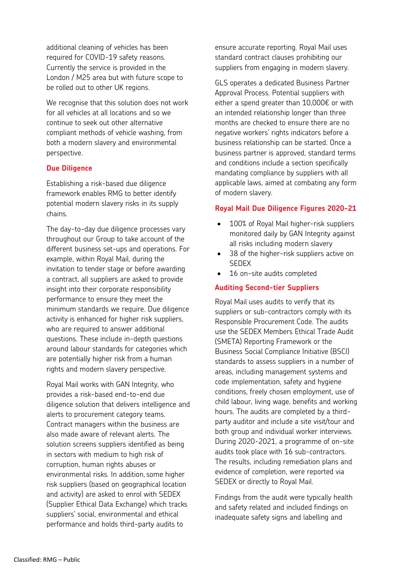additional cleaning of vehicles has been required for COVID-19 safety reasons. Currently the service is provided in the London / M25 area but with future scope to be rolled out to other UK regions.

We recognise that this solution does not work for all vehicles at all locations and so we continue to seek out other alternative compliant methods of vehicle washing, from both a modern slavery and environmental perspective.

#### **Due Diligence**

Establishing a risk-based due diligence framework enables RMG to better identify potential modern slavery risks in its supply chains.

The day-to-day due diligence processes vary throughout our Group to take account of the different business set-ups and operations. For example, within Royal Mail, during the invitation to tender stage or before awarding a contract, all suppliers are asked to provide insight into their corporate responsibility performance to ensure they meet the minimum standards we require. Due diligence activity is enhanced for higher risk suppliers, who are required to answer additional questions. These include in-depth questions around labour standards for categories which are potentially higher risk from a human rights and modern slavery perspective.

Royal Mail works with GAN Integrity, who provides a risk-based end-to-end due diligence solution that delivers intelligence and alerts to procurement category teams. Contract managers within the business are also made aware of relevant alerts. The solution screens suppliers identified as being in sectors with medium to high risk of corruption, human rights abuses or environmental risks. In addition, some higher risk suppliers (based on geographical location and activity) are asked to enrol with SEDEX (Supplier Ethical Data Exchange) which tracks suppliers' social, environmental and ethical performance and holds third-party audits to

ensure accurate reporting. Royal Mail uses standard contract clauses prohibiting our suppliers from engaging in modern slavery.

GLS operates a dedicated Business Partner Approval Process. Potential suppliers with either a spend greater than 10,000€ or with an intended relationship longer than three months are checked to ensure there are no negative workers' rights indicators before a business relationship can be started. Once a business partner is approved, standard terms and conditions include a section specifically mandating compliance by suppliers with all applicable laws, aimed at combating any form of modern slavery.

#### **Royal Mail Due Diligence Figures 2020-21**

- 100% of Royal Mail higher-risk suppliers monitored daily by GAN Integrity against all risks including modern slavery
- 38 of the higher-risk suppliers active on SEDEX
- 16 on-site audits completed

#### **Auditing Second-tier Suppliers**

Royal Mail uses audits to verify that its suppliers or sub-contractors comply with its Responsible Procurement Code. The audits use the SEDEX Members Ethical Trade Audit (SMETA) Reporting Framework or the Business Social Compliance Initiative (BSCI) standards to assess suppliers in a number of areas, including management systems and code implementation, safety and hygiene conditions, freely chosen employment, use of child labour, living wage, benefits and working hours. The audits are completed by a thirdparty auditor and include a site visit/tour and both group and individual worker interviews. During 2020-2021, a programme of on-site audits took place with 16 sub-contractors. The results, including remediation plans and evidence of completion, were reported via SEDEX or directly to Royal Mail.

Findings from the audit were typically health and safety related and included findings on inadequate safety signs and labelling and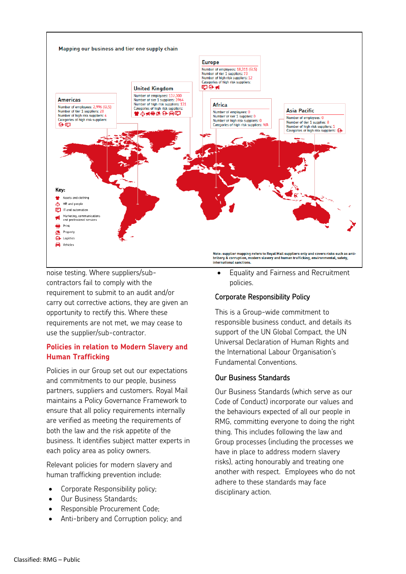

noise testing. Where suppliers/subcontractors fail to comply with the requirement to submit to an audit and/or carry out corrective actions, they are given an opportunity to rectify this. Where these requirements are not met, we may cease to use the supplier/sub-contractor.

### **Policies in relation to Modern Slavery and Human Trafficking**

Policies in our Group set out our expectations and commitments to our people, business partners, suppliers and customers. Royal Mail maintains a Policy Governance Framework to ensure that all policy requirements internally are verified as meeting the requirements of both the law and the risk appetite of the business. It identifies subject matter experts in each policy area as policy owners.

Relevant policies for modern slavery and human trafficking prevention include:

- Corporate Responsibility policy;
- Our Business Standards;
- Responsible Procurement Code;
- Anti-bribery and Corruption policy; and

• Equality and Fairness and Recruitment policies.

# Corporate Responsibility Policy

This is a Group-wide commitment to responsible business conduct, and details its support of the UN Global Compact, the UN Universal Declaration of Human Rights and the International Labour Organisation's Fundamental Conventions.

# Our Business Standards

Our Business Standards (which serve as our Code of Conduct) incorporate our values and the behaviours expected of all our people in RMG, committing everyone to doing the right thing. This includes following the law and Group processes (including the processes we have in place to address modern slavery risks), acting honourably and treating one another with respect. Employees who do not adhere to these standards may face disciplinary action.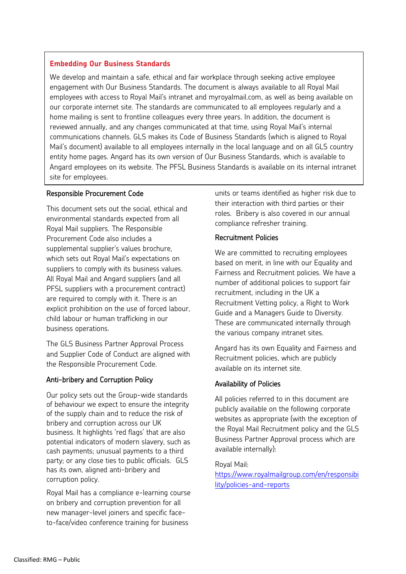#### **Embedding Our Business Standards**

We develop and maintain a safe, ethical and fair workplace through seeking active employee engagement with Our Business Standards. The document is always available to all Royal Mail employees with access to Royal Mail's intranet and myroyalmail.com, as well as being available on our corporate internet site. The standards are communicated to all employees regularly and a home mailing is sent to frontline colleagues every three years. In addition, the document is reviewed annually, and any changes communicated at that time, using Royal Mail's internal communications channels. GLS makes its Code of Business Standards (which is aligned to Royal Mail's document) available to all employees internally in the local language and on all GLS country entity home pages. Angard has its own version of Our Business Standards, which is available to Angard employees on its website. The PFSL Business Standards is available on its internal intranet site for employees.

### Responsible Procurement Code

This document sets out the social, ethical and environmental standards expected from all Royal Mail suppliers. The Responsible Procurement Code also includes a supplemental supplier's values brochure, which sets out Royal Mail's expectations on suppliers to comply with its business values. All Royal Mail and Angard suppliers (and all PFSL suppliers with a procurement contract) are required to comply with it. There is an explicit prohibition on the use of forced labour, child labour or human trafficking in our business operations.

The GLS Business Partner Approval Process and Supplier Code of Conduct are aligned with the Responsible Procurement Code.

# Anti-bribery and Corruption Policy

Our policy sets out the Group-wide standards of behaviour we expect to ensure the integrity of the supply chain and to reduce the risk of bribery and corruption across our UK business. It highlights 'red flags' that are also potential indicators of modern slavery, such as cash payments; unusual payments to a third party; or any close ties to public officials. GLS has its own, aligned anti-bribery and corruption policy.

Royal Mail has a compliance e-learning course on bribery and corruption prevention for all new manager-level joiners and specific faceto-face/video conference training for business

units or teams identified as higher risk due to their interaction with third parties or their roles. Bribery is also covered in our annual compliance refresher training.

# Recruitment Policies

We are committed to recruiting employees based on merit, in line with our Equality and Fairness and Recruitment policies. We have a number of additional policies to support fair recruitment, including in the UK a Recruitment Vetting policy, a Right to Work Guide and a Managers Guide to Diversity. These are communicated internally through the various company intranet sites.

Angard has its own Equality and Fairness and Recruitment policies, which are publicly available on its internet site.

# Availability of Policies

All policies referred to in this document are publicly available on the following corporate websites as appropriate (with the exception of the Royal Mail Recruitment policy and the GLS Business Partner Approval process which are available internally):

Royal Mail: [https://www.royalmailgroup.com/en/responsibi](https://www.royalmailgroup.com/en/responsibility/policies-and-reports) [lity/policies-and-reports](https://www.royalmailgroup.com/en/responsibility/policies-and-reports)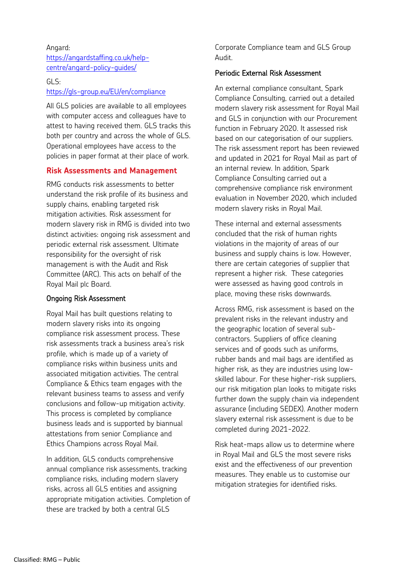# Angard: [https://angardstaffing.co.uk/help](https://angardstaffing.co.uk/help-centre/angard-policy-guides/)[centre/angard-policy-guides/](https://angardstaffing.co.uk/help-centre/angard-policy-guides/)

### $GIS$ <https://gls-group.eu/EU/en/compliance>

All GLS policies are available to all employees with computer access and colleagues have to attest to having received them. GLS tracks this both per country and across the whole of GLS. Operational employees have access to the policies in paper format at their place of work.

# **Risk Assessments and Management**

RMG conducts risk assessments to better understand the risk profile of its business and supply chains, enabling targeted risk mitigation activities. Risk assessment for modern slavery risk in RMG is divided into two distinct activities: ongoing risk assessment and periodic external risk assessment. Ultimate responsibility for the oversight of risk management is with the Audit and Risk Committee (ARC). This acts on behalf of the Royal Mail plc Board.

# Ongoing Risk Assessment

Royal Mail has built questions relating to modern slavery risks into its ongoing compliance risk assessment process. These risk assessments track a business area's risk profile, which is made up of a variety of compliance risks within business units and associated mitigation activities. The central Compliance & Ethics team engages with the relevant business teams to assess and verify conclusions and follow-up mitigation activity. This process is completed by compliance business leads and is supported by biannual attestations from senior Compliance and Ethics Champions across Royal Mail.

In addition, GLS conducts comprehensive annual compliance risk assessments, tracking compliance risks, including modern slavery risks, across all GLS entities and assigning appropriate mitigation activities. Completion of these are tracked by both a central GLS

Corporate Compliance team and GLS Group Audit.

# Periodic External Risk Assessment

An external compliance consultant, Spark Compliance Consulting, carried out a detailed modern slavery risk assessment for Royal Mail and GLS in conjunction with our Procurement function in February 2020. It assessed risk based on our categorisation of our suppliers. The risk assessment report has been reviewed and updated in 2021 for Royal Mail as part of an internal review. In addition, Spark Compliance Consulting carried out a comprehensive compliance risk environment evaluation in November 2020, which included modern slavery risks in Royal Mail.

These internal and external assessments concluded that the risk of human rights violations in the majority of areas of our business and supply chains is low. However, there are certain categories of supplier that represent a higher risk. These categories were assessed as having good controls in place, moving these risks downwards.

Across RMG, risk assessment is based on the prevalent risks in the relevant industry and the geographic location of several subcontractors. Suppliers of office cleaning services and of goods such as uniforms, rubber bands and mail bags are identified as higher risk, as they are industries using lowskilled labour. For these higher-risk suppliers, our risk mitigation plan looks to mitigate risks further down the supply chain via independent assurance (including SEDEX). Another modern slavery external risk assessment is due to be completed during 2021-2022.

Risk heat-maps allow us to determine where in Royal Mail and GLS the most severe risks exist and the effectiveness of our prevention measures. They enable us to customise our mitigation strategies for identified risks.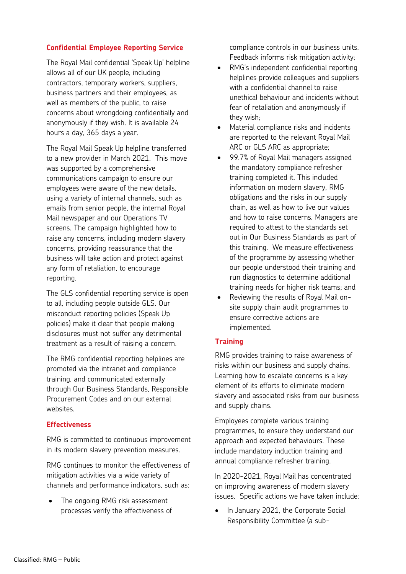## **Confidential Employee Reporting Service**

The Royal Mail confidential 'Speak Up' helpline allows all of our UK people, including contractors, temporary workers, suppliers, business partners and their employees, as well as members of the public, to raise concerns about wrongdoing confidentially and anonymously if they wish. It is available 24 hours a day, 365 days a year.

The Royal Mail Speak Up helpline transferred to a new provider in March 2021. This move was supported by a comprehensive communications campaign to ensure our employees were aware of the new details, using a variety of internal channels, such as emails from senior people, the internal Royal Mail newspaper and our Operations TV screens. The campaign highlighted how to raise any concerns, including modern slavery concerns, providing reassurance that the business will take action and protect against any form of retaliation, to encourage reporting.

The GLS confidential reporting service is open to all, including people outside GLS. Our misconduct reporting policies (Speak Up policies) make it clear that people making disclosures must not suffer any detrimental treatment as a result of raising a concern.

The RMG confidential reporting helplines are promoted via the intranet and compliance training, and communicated externally through Our Business Standards, Responsible Procurement Codes and on our external websites.

#### **Effectiveness**

RMG is committed to continuous improvement in its modern slavery prevention measures.

RMG continues to monitor the effectiveness of mitigation activities via a wide variety of channels and performance indicators, such as:

The ongoing RMG risk assessment processes verify the effectiveness of

compliance controls in our business units. Feedback informs risk mitigation activity;

- RMG's independent confidential reporting helplines provide colleagues and suppliers with a confidential channel to raise unethical behaviour and incidents without fear of retaliation and anonymously if they wish;
- Material compliance risks and incidents are reported to the relevant Royal Mail ARC or GLS ARC as appropriate;
- 99.7% of Royal Mail managers assigned the mandatory compliance refresher training completed it. This included information on modern slavery, RMG obligations and the risks in our supply chain, as well as how to live our values and how to raise concerns. Managers are required to attest to the standards set out in Our Business Standards as part of this training. We measure effectiveness of the programme by assessing whether our people understood their training and run diagnostics to determine additional training needs for higher risk teams; and
- Reviewing the results of Royal Mail onsite supply chain audit programmes to ensure corrective actions are implemented.

#### **Training**

RMG provides training to raise awareness of risks within our business and supply chains. Learning how to escalate concerns is a key element of its efforts to eliminate modern slavery and associated risks from our business and supply chains.

Employees complete various training programmes, to ensure they understand our approach and expected behaviours. These include mandatory induction training and annual compliance refresher training.

In 2020-2021, Royal Mail has concentrated on improving awareness of modern slavery issues. Specific actions we have taken include:

• In January 2021, the Corporate Social Responsibility Committee (a sub